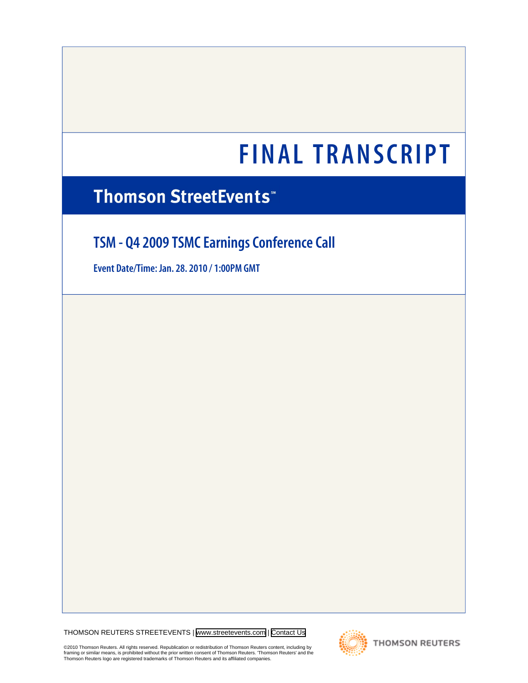# **FINAL TRANSCRIPT**

# **Thomson StreetEvents\***

# **TSM - Q4 2009 TSMC Earnings Conference Call**

**Event Date/Time: Jan. 28. 2010 / 1:00PM GMT**

THOMSON REUTERS STREETEVENTS | [www.streetevents.com](http://www.streetevents.com) | [Contact Us](http://www010.streetevents.com/contact.asp)

©2010 Thomson Reuters. All rights reserved. Republication or redistribution of Thomson Reuters content, including by<br>framing or similar means, is prohibited without the prior written consent of Thomson Reuters. 'Thomson Re



**THOMSON REUTERS**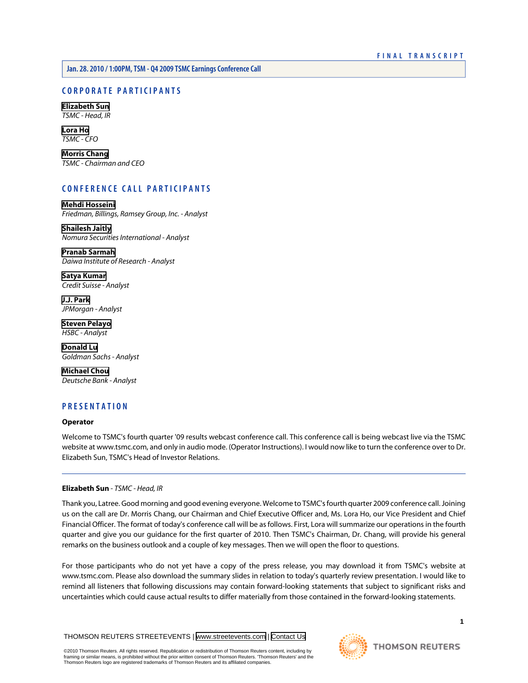# **CORPORATE PARTICIPANTS**

**[Elizabeth Sun](#page-1-0)** *TSMC - Head, IR*

**[Lora Ho](#page-2-0)** *TSMC - CFO*

**[Morris Chang](#page-3-0)** *TSMC - Chairman and CEO*

# **CONFERENCE CALL PARTICIPANTS**

**[Mehdi Hosseini](#page-5-0)** *Friedman, Billings, Ramsey Group, Inc. - Analyst*

**[Shailesh Jaitly](#page-6-0)** *Nomura Securities International - Analyst*

**[Pranab Sarmah](#page-7-0)** *Daiwa Institute of Research - Analyst*

**[Satya Kumar](#page-8-0)** *Credit Suisse - Analyst*

**[J.J. Park](#page-9-0)** *JPMorgan - Analyst*

**[Steven Pelayo](#page-10-0)** *HSBC - Analyst*

**[Donald Lu](#page-12-0)** *Goldman Sachs - Analyst*

**[Michael Chou](#page-15-0)** *Deutsche Bank - Analyst*

# **PRESENTATION**

# **Operator**

<span id="page-1-0"></span>Welcome to TSMC's fourth quarter '09 results webcast conference call. This conference call is being webcast live via the TSMC website at www.tsmc.com, and only in audio mode. (Operator Instructions). I would now like to turn the conference over to Dr. Elizabeth Sun, TSMC's Head of Investor Relations.

# **Elizabeth Sun** *- TSMC - Head, IR*

Thank you, Latree. Good morning and good evening everyone. Welcome to TSMC's fourth quarter 2009 conference call. Joining us on the call are Dr. Morris Chang, our Chairman and Chief Executive Officer and, Ms. Lora Ho, our Vice President and Chief Financial Officer. The format of today's conference call will be as follows. First, Lora will summarize our operations in the fourth quarter and give you our guidance for the first quarter of 2010. Then TSMC's Chairman, Dr. Chang, will provide his general remarks on the business outlook and a couple of key messages. Then we will open the floor to questions.

For those participants who do not yet have a copy of the press release, you may download it from TSMC's website at www.tsmc.com. Please also download the summary slides in relation to today's quarterly review presentation. I would like to remind all listeners that following discussions may contain forward-looking statements that subject to significant risks and uncertainties which could cause actual results to differ materially from those contained in the forward-looking statements.

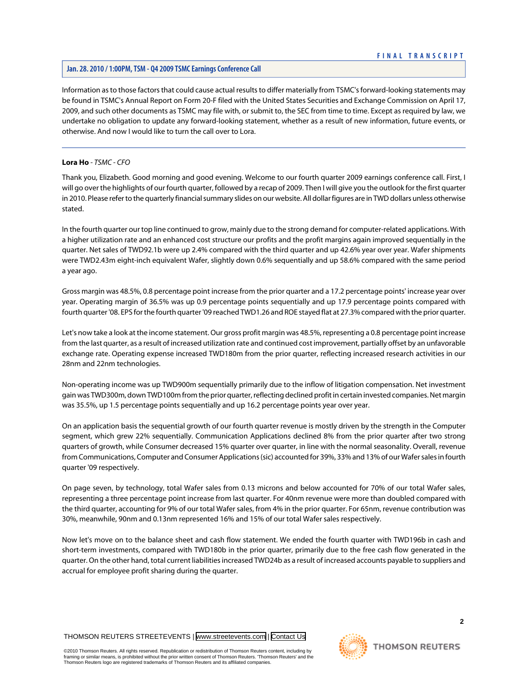Information as to those factors that could cause actual results to differ materially from TSMC's forward-looking statements may be found in TSMC's Annual Report on Form 20-F filed with the United States Securities and Exchange Commission on April 17, 2009, and such other documents as TSMC may file with, or submit to, the SEC from time to time. Except as required by law, we undertake no obligation to update any forward-looking statement, whether as a result of new information, future events, or otherwise. And now I would like to turn the call over to Lora.

# <span id="page-2-0"></span>**Lora Ho** *- TSMC - CFO*

Thank you, Elizabeth. Good morning and good evening. Welcome to our fourth quarter 2009 earnings conference call. First, I will go over the highlights of our fourth quarter, followed by a recap of 2009. Then I will give you the outlook for the first quarter in 2010. Please refer to the quarterly financial summary slides on our website. All dollar figures are in TWD dollars unless otherwise stated.

In the fourth quarter our top line continued to grow, mainly due to the strong demand for computer-related applications. With a higher utilization rate and an enhanced cost structure our profits and the profit margins again improved sequentially in the quarter. Net sales of TWD92.1b were up 2.4% compared with the third quarter and up 42.6% year over year. Wafer shipments were TWD2.43m eight-inch equivalent Wafer, slightly down 0.6% sequentially and up 58.6% compared with the same period a year ago.

Gross margin was 48.5%, 0.8 percentage point increase from the prior quarter and a 17.2 percentage points' increase year over year. Operating margin of 36.5% was up 0.9 percentage points sequentially and up 17.9 percentage points compared with fourth quarter '08. EPS for the fourth quarter '09 reached TWD1.26 and ROE stayed flat at 27.3% compared with the prior quarter.

Let's now take a look at the income statement. Our gross profit margin was 48.5%, representing a 0.8 percentage point increase from the last quarter, as a result of increased utilization rate and continued cost improvement, partially offset by an unfavorable exchange rate. Operating expense increased TWD180m from the prior quarter, reflecting increased research activities in our 28nm and 22nm technologies.

Non-operating income was up TWD900m sequentially primarily due to the inflow of litigation compensation. Net investment gain was TWD300m, down TWD100m from the prior quarter, reflecting declined profit in certain invested companies. Net margin was 35.5%, up 1.5 percentage points sequentially and up 16.2 percentage points year over year.

On an application basis the sequential growth of our fourth quarter revenue is mostly driven by the strength in the Computer segment, which grew 22% sequentially. Communication Applications declined 8% from the prior quarter after two strong quarters of growth, while Consumer decreased 15% quarter over quarter, in line with the normal seasonality. Overall, revenue from Communications, Computer and Consumer Applications (sic) accounted for 39%, 33% and 13% of our Wafer sales in fourth quarter '09 respectively.

On page seven, by technology, total Wafer sales from 0.13 microns and below accounted for 70% of our total Wafer sales, representing a three percentage point increase from last quarter. For 40nm revenue were more than doubled compared with the third quarter, accounting for 9% of our total Wafer sales, from 4% in the prior quarter. For 65nm, revenue contribution was 30%, meanwhile, 90nm and 0.13nm represented 16% and 15% of our total Wafer sales respectively.

Now let's move on to the balance sheet and cash flow statement. We ended the fourth quarter with TWD196b in cash and short-term investments, compared with TWD180b in the prior quarter, primarily due to the free cash flow generated in the quarter. On the other hand, total current liabilities increased TWD24b as a result of increased accounts payable to suppliers and accrual for employee profit sharing during the quarter.

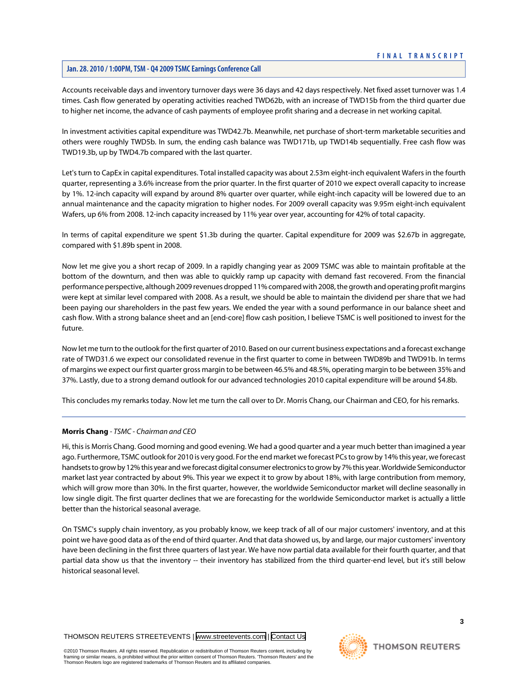Accounts receivable days and inventory turnover days were 36 days and 42 days respectively. Net fixed asset turnover was 1.4 times. Cash flow generated by operating activities reached TWD62b, with an increase of TWD15b from the third quarter due to higher net income, the advance of cash payments of employee profit sharing and a decrease in net working capital.

In investment activities capital expenditure was TWD42.7b. Meanwhile, net purchase of short-term marketable securities and others were roughly TWD5b. In sum, the ending cash balance was TWD171b, up TWD14b sequentially. Free cash flow was TWD19.3b, up by TWD4.7b compared with the last quarter.

Let's turn to CapEx in capital expenditures. Total installed capacity was about 2.53m eight-inch equivalent Wafers in the fourth quarter, representing a 3.6% increase from the prior quarter. In the first quarter of 2010 we expect overall capacity to increase by 1%. 12-inch capacity will expand by around 8% quarter over quarter, while eight-inch capacity will be lowered due to an annual maintenance and the capacity migration to higher nodes. For 2009 overall capacity was 9.95m eight-inch equivalent Wafers, up 6% from 2008. 12-inch capacity increased by 11% year over year, accounting for 42% of total capacity.

In terms of capital expenditure we spent \$1.3b during the quarter. Capital expenditure for 2009 was \$2.67b in aggregate, compared with \$1.89b spent in 2008.

Now let me give you a short recap of 2009. In a rapidly changing year as 2009 TSMC was able to maintain profitable at the bottom of the downturn, and then was able to quickly ramp up capacity with demand fast recovered. From the financial performance perspective, although 2009 revenues dropped 11% compared with 2008, the growth and operating profit margins were kept at similar level compared with 2008. As a result, we should be able to maintain the dividend per share that we had been paying our shareholders in the past few years. We ended the year with a sound performance in our balance sheet and cash flow. With a strong balance sheet and an [end-core] flow cash position, I believe TSMC is well positioned to invest for the future.

Now let me turn to the outlook for the first quarter of 2010. Based on our current business expectations and a forecast exchange rate of TWD31.6 we expect our consolidated revenue in the first quarter to come in between TWD89b and TWD91b. In terms of margins we expect our first quarter gross margin to be between 46.5% and 48.5%, operating margin to be between 35% and 37%. Lastly, due to a strong demand outlook for our advanced technologies 2010 capital expenditure will be around \$4.8b.

<span id="page-3-0"></span>This concludes my remarks today. Now let me turn the call over to Dr. Morris Chang, our Chairman and CEO, for his remarks.

# **Morris Chang** *- TSMC - Chairman and CEO*

Hi, this is Morris Chang. Good morning and good evening. We had a good quarter and a year much better than imagined a year ago. Furthermore, TSMC outlook for 2010 is very good. For the end market we forecast PCs to grow by 14% this year, we forecast handsets to grow by 12% this year and we forecast digital consumer electronics to grow by 7% this year. Worldwide Semiconductor market last year contracted by about 9%. This year we expect it to grow by about 18%, with large contribution from memory, which will grow more than 30%. In the first quarter, however, the worldwide Semiconductor market will decline seasonally in low single digit. The first quarter declines that we are forecasting for the worldwide Semiconductor market is actually a little better than the historical seasonal average.

On TSMC's supply chain inventory, as you probably know, we keep track of all of our major customers' inventory, and at this point we have good data as of the end of third quarter. And that data showed us, by and large, our major customers' inventory have been declining in the first three quarters of last year. We have now partial data available for their fourth quarter, and that partial data show us that the inventory -- their inventory has stabilized from the third quarter-end level, but it's still below historical seasonal level.

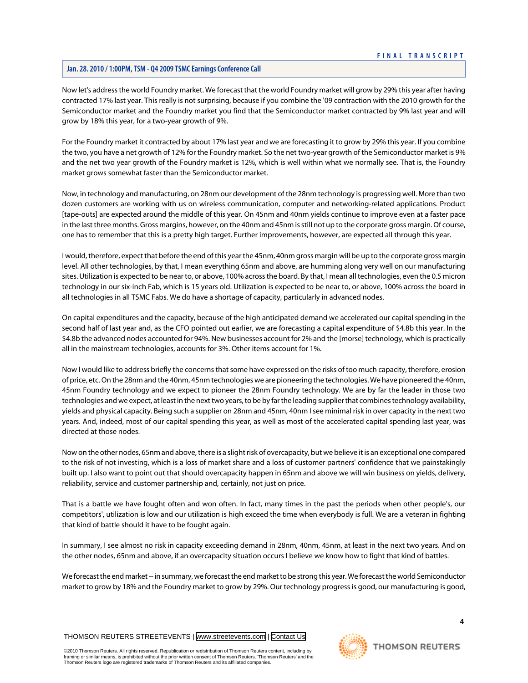Now let's address the world Foundry market. We forecast that the world Foundry market will grow by 29% this year after having contracted 17% last year. This really is not surprising, because if you combine the '09 contraction with the 2010 growth for the Semiconductor market and the Foundry market you find that the Semiconductor market contracted by 9% last year and will grow by 18% this year, for a two-year growth of 9%.

For the Foundry market it contracted by about 17% last year and we are forecasting it to grow by 29% this year. If you combine the two, you have a net growth of 12% for the Foundry market. So the net two-year growth of the Semiconductor market is 9% and the net two year growth of the Foundry market is 12%, which is well within what we normally see. That is, the Foundry market grows somewhat faster than the Semiconductor market.

Now, in technology and manufacturing, on 28nm our development of the 28nm technology is progressing well. More than two dozen customers are working with us on wireless communication, computer and networking-related applications. Product [tape-outs] are expected around the middle of this year. On 45nm and 40nm yields continue to improve even at a faster pace in the last three months. Gross margins, however, on the 40nm and 45nm is still not up to the corporate gross margin. Of course, one has to remember that this is a pretty high target. Further improvements, however, are expected all through this year.

I would, therefore, expect that before the end of this year the 45nm, 40nm gross margin will be up to the corporate gross margin level. All other technologies, by that, I mean everything 65nm and above, are humming along very well on our manufacturing sites. Utilization is expected to be near to, or above, 100% across the board. By that, I mean all technologies, even the 0.5 micron technology in our six-inch Fab, which is 15 years old. Utilization is expected to be near to, or above, 100% across the board in all technologies in all TSMC Fabs. We do have a shortage of capacity, particularly in advanced nodes.

On capital expenditures and the capacity, because of the high anticipated demand we accelerated our capital spending in the second half of last year and, as the CFO pointed out earlier, we are forecasting a capital expenditure of \$4.8b this year. In the \$4.8b the advanced nodes accounted for 94%. New businesses account for 2% and the [morse] technology, which is practically all in the mainstream technologies, accounts for 3%. Other items account for 1%.

Now I would like to address briefly the concerns that some have expressed on the risks of too much capacity, therefore, erosion of price, etc. On the 28nm and the 40nm, 45nm technologies we are pioneering the technologies. We have pioneered the 40nm, 45nm Foundry technology and we expect to pioneer the 28nm Foundry technology. We are by far the leader in those two technologies and we expect, at least in the next two years, to be by far the leading supplier that combines technology availability, yields and physical capacity. Being such a supplier on 28nm and 45nm, 40nm I see minimal risk in over capacity in the next two years. And, indeed, most of our capital spending this year, as well as most of the accelerated capital spending last year, was directed at those nodes.

Now on the other nodes, 65nm and above, there is a slight risk of overcapacity, but we believe it is an exceptional one compared to the risk of not investing, which is a loss of market share and a loss of customer partners' confidence that we painstakingly built up. I also want to point out that should overcapacity happen in 65nm and above we will win business on yields, delivery, reliability, service and customer partnership and, certainly, not just on price.

That is a battle we have fought often and won often. In fact, many times in the past the periods when other people's, our competitors', utilization is low and our utilization is high exceed the time when everybody is full. We are a veteran in fighting that kind of battle should it have to be fought again.

In summary, I see almost no risk in capacity exceeding demand in 28nm, 40nm, 45nm, at least in the next two years. And on the other nodes, 65nm and above, if an overcapacity situation occurs I believe we know how to fight that kind of battles.

We forecast the end market -- in summary, we forecast the end market to be strong this year. We forecast the world Semiconductor market to grow by 18% and the Foundry market to grow by 29%. Our technology progress is good, our manufacturing is good,

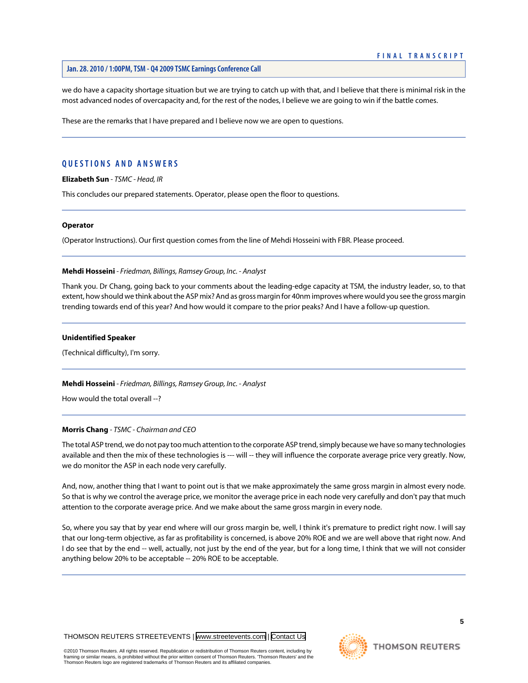we do have a capacity shortage situation but we are trying to catch up with that, and I believe that there is minimal risk in the most advanced nodes of overcapacity and, for the rest of the nodes, I believe we are going to win if the battle comes.

These are the remarks that I have prepared and I believe now we are open to questions.

# **QUESTIONS AND ANSWERS**

**Elizabeth Sun** *- TSMC - Head, IR*

This concludes our prepared statements. Operator, please open the floor to questions.

### **Operator**

<span id="page-5-0"></span>(Operator Instructions). Our first question comes from the line of Mehdi Hosseini with FBR. Please proceed.

# **Mehdi Hosseini** *- Friedman, Billings, Ramsey Group, Inc. - Analyst*

Thank you. Dr Chang, going back to your comments about the leading-edge capacity at TSM, the industry leader, so, to that extent, how should we think about the ASP mix? And as gross margin for 40nm improves where would you see the gross margin trending towards end of this year? And how would it compare to the prior peaks? And I have a follow-up question.

#### **Unidentified Speaker**

(Technical difficulty), I'm sorry.

**Mehdi Hosseini** *- Friedman, Billings, Ramsey Group, Inc. - Analyst*

How would the total overall --?

# **Morris Chang** *- TSMC - Chairman and CEO*

The total ASP trend, we do not pay too much attention to the corporate ASP trend, simply because we have so many technologies available and then the mix of these technologies is --- will -- they will influence the corporate average price very greatly. Now, we do monitor the ASP in each node very carefully.

And, now, another thing that I want to point out is that we make approximately the same gross margin in almost every node. So that is why we control the average price, we monitor the average price in each node very carefully and don't pay that much attention to the corporate average price. And we make about the same gross margin in every node.

So, where you say that by year end where will our gross margin be, well, I think it's premature to predict right now. I will say that our long-term objective, as far as profitability is concerned, is above 20% ROE and we are well above that right now. And I do see that by the end -- well, actually, not just by the end of the year, but for a long time, I think that we will not consider anything below 20% to be acceptable -- 20% ROE to be acceptable.

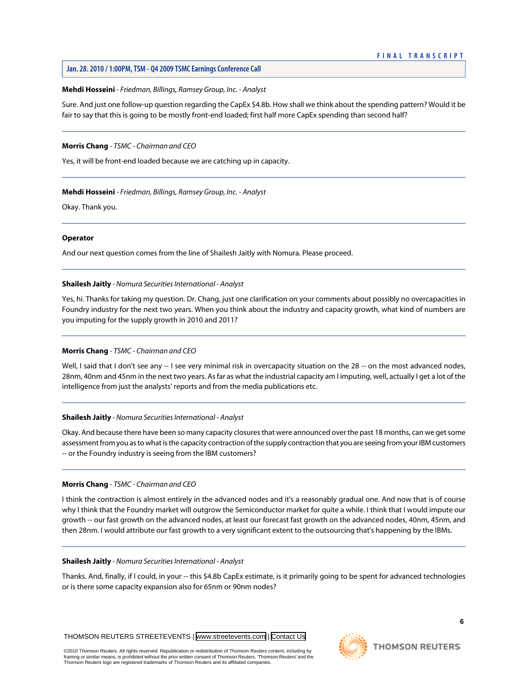# **Mehdi Hosseini** *- Friedman, Billings, Ramsey Group, Inc. - Analyst*

Sure. And just one follow-up question regarding the CapEx \$4.8b. How shall we think about the spending pattern? Would it be fair to say that this is going to be mostly front-end loaded; first half more CapEx spending than second half?

# **Morris Chang** *- TSMC - Chairman and CEO*

Yes, it will be front-end loaded because we are catching up in capacity.

# **Mehdi Hosseini** *- Friedman, Billings, Ramsey Group, Inc. - Analyst*

Okay. Thank you.

# **Operator**

<span id="page-6-0"></span>And our next question comes from the line of Shailesh Jaitly with Nomura. Please proceed.

# **Shailesh Jaitly** *- Nomura Securities International - Analyst*

Yes, hi. Thanks for taking my question. Dr. Chang, just one clarification on your comments about possibly no overcapacities in Foundry industry for the next two years. When you think about the industry and capacity growth, what kind of numbers are you imputing for the supply growth in 2010 and 2011?

# **Morris Chang** *- TSMC - Chairman and CEO*

Well, I said that I don't see any -- I see very minimal risk in overcapacity situation on the 28 -- on the most advanced nodes, 28nm, 40nm and 45nm in the next two years. As far as what the industrial capacity am I imputing, well, actually I get a lot of the intelligence from just the analysts' reports and from the media publications etc.

# **Shailesh Jaitly** *- Nomura Securities International - Analyst*

Okay. And because there have been so many capacity closures that were announced over the past 18 months, can we get some assessment from you as to what is the capacity contraction of the supply contraction that you are seeing from your IBM customers -- or the Foundry industry is seeing from the IBM customers?

# **Morris Chang** *- TSMC - Chairman and CEO*

I think the contraction is almost entirely in the advanced nodes and it's a reasonably gradual one. And now that is of course why I think that the Foundry market will outgrow the Semiconductor market for quite a while. I think that I would impute our growth -- our fast growth on the advanced nodes, at least our forecast fast growth on the advanced nodes, 40nm, 45nm, and then 28nm. I would attribute our fast growth to a very significant extent to the outsourcing that's happening by the IBMs.

# **Shailesh Jaitly** *- Nomura Securities International - Analyst*

Thanks. And, finally, if I could, in your -- this \$4.8b CapEx estimate, is it primarily going to be spent for advanced technologies or is there some capacity expansion also for 65nm or 90nm nodes?



**6**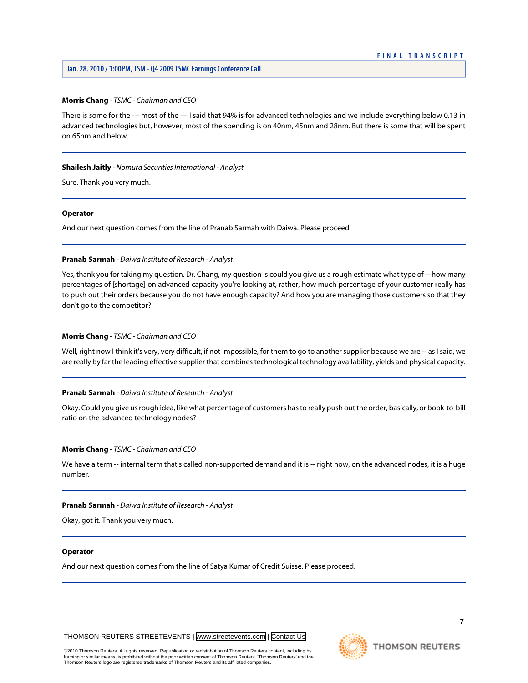# **FINAL TRANSCRIPT**

# **Jan. 28. 2010 / 1:00PM, TSM - Q4 2009 TSMC Earnings Conference Call**

# **Morris Chang** *- TSMC - Chairman and CEO*

There is some for the --- most of the --- I said that 94% is for advanced technologies and we include everything below 0.13 in advanced technologies but, however, most of the spending is on 40nm, 45nm and 28nm. But there is some that will be spent on 65nm and below.

#### **Shailesh Jaitly** *- Nomura Securities International - Analyst*

Sure. Thank you very much.

#### **Operator**

<span id="page-7-0"></span>And our next question comes from the line of Pranab Sarmah with Daiwa. Please proceed.

#### **Pranab Sarmah** *- Daiwa Institute of Research - Analyst*

Yes, thank you for taking my question. Dr. Chang, my question is could you give us a rough estimate what type of -- how many percentages of [shortage] on advanced capacity you're looking at, rather, how much percentage of your customer really has to push out their orders because you do not have enough capacity? And how you are managing those customers so that they don't go to the competitor?

#### **Morris Chang** *- TSMC - Chairman and CEO*

Well, right now I think it's very, very difficult, if not impossible, for them to go to another supplier because we are -- as I said, we are really by far the leading effective supplier that combines technological technology availability, yields and physical capacity.

#### **Pranab Sarmah** *- Daiwa Institute of Research - Analyst*

Okay. Could you give us rough idea, like what percentage of customers has to really push out the order, basically, or book-to-bill ratio on the advanced technology nodes?

#### **Morris Chang** *- TSMC - Chairman and CEO*

We have a term -- internal term that's called non-supported demand and it is -- right now, on the advanced nodes, it is a huge number.

#### **Pranab Sarmah** *- Daiwa Institute of Research - Analyst*

Okay, got it. Thank you very much.

#### **Operator**

And our next question comes from the line of Satya Kumar of Credit Suisse. Please proceed.

THOMSON REUTERS STREETEVENTS | [www.streetevents.com](http://www.streetevents.com) | [Contact Us](http://www010.streetevents.com/contact.asp)

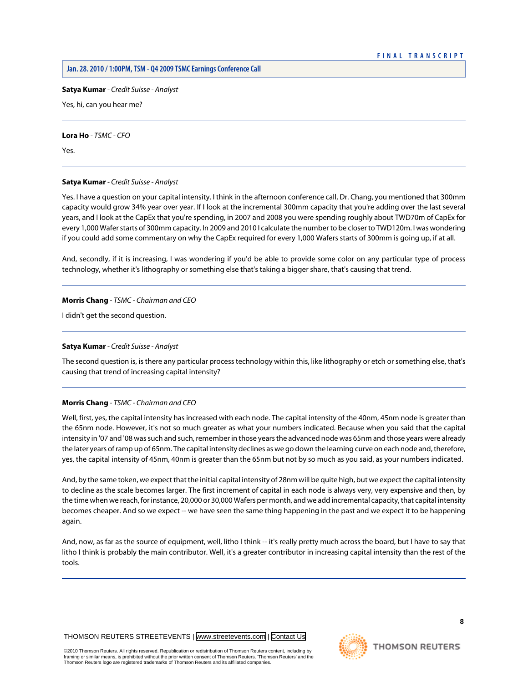<span id="page-8-0"></span>**Satya Kumar** *- Credit Suisse - Analyst*

Yes, hi, can you hear me?

**Lora Ho** *- TSMC - CFO*

Yes.

# **Satya Kumar** *- Credit Suisse - Analyst*

Yes. I have a question on your capital intensity. I think in the afternoon conference call, Dr. Chang, you mentioned that 300mm capacity would grow 34% year over year. If I look at the incremental 300mm capacity that you're adding over the last several years, and I look at the CapEx that you're spending, in 2007 and 2008 you were spending roughly about TWD70m of CapEx for every 1,000 Wafer starts of 300mm capacity. In 2009 and 2010 I calculate the number to be closer to TWD120m. I was wondering if you could add some commentary on why the CapEx required for every 1,000 Wafers starts of 300mm is going up, if at all.

And, secondly, if it is increasing, I was wondering if you'd be able to provide some color on any particular type of process technology, whether it's lithography or something else that's taking a bigger share, that's causing that trend.

# **Morris Chang** *- TSMC - Chairman and CEO*

I didn't get the second question.

# **Satya Kumar** *- Credit Suisse - Analyst*

The second question is, is there any particular process technology within this, like lithography or etch or something else, that's causing that trend of increasing capital intensity?

# **Morris Chang** *- TSMC - Chairman and CEO*

Well, first, yes, the capital intensity has increased with each node. The capital intensity of the 40nm, 45nm node is greater than the 65nm node. However, it's not so much greater as what your numbers indicated. Because when you said that the capital intensity in '07 and '08 was such and such, remember in those years the advanced node was 65nm and those years were already the later years of ramp up of 65nm. The capital intensity declines as we go down the learning curve on each node and, therefore, yes, the capital intensity of 45nm, 40nm is greater than the 65nm but not by so much as you said, as your numbers indicated.

And, by the same token, we expect that the initial capital intensity of 28nm will be quite high, but we expect the capital intensity to decline as the scale becomes larger. The first increment of capital in each node is always very, very expensive and then, by the time when we reach, for instance, 20,000 or 30,000 Wafers per month, and we add incremental capacity, that capital intensity becomes cheaper. And so we expect -- we have seen the same thing happening in the past and we expect it to be happening again.

And, now, as far as the source of equipment, well, litho I think -- it's really pretty much across the board, but I have to say that litho I think is probably the main contributor. Well, it's a greater contributor in increasing capital intensity than the rest of the tools.

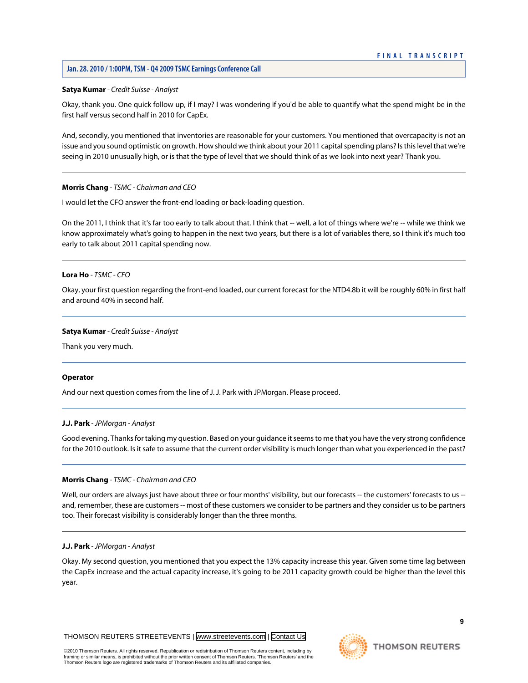# **Satya Kumar** *- Credit Suisse - Analyst*

Okay, thank you. One quick follow up, if I may? I was wondering if you'd be able to quantify what the spend might be in the first half versus second half in 2010 for CapEx.

And, secondly, you mentioned that inventories are reasonable for your customers. You mentioned that overcapacity is not an issue and you sound optimistic on growth. How should we think about your 2011 capital spending plans? Is this level that we're seeing in 2010 unusually high, or is that the type of level that we should think of as we look into next year? Thank you.

# **Morris Chang** *- TSMC - Chairman and CEO*

I would let the CFO answer the front-end loading or back-loading question.

On the 2011, I think that it's far too early to talk about that. I think that -- well, a lot of things where we're -- while we think we know approximately what's going to happen in the next two years, but there is a lot of variables there, so I think it's much too early to talk about 2011 capital spending now.

# **Lora Ho** *- TSMC - CFO*

Okay, your first question regarding the front-end loaded, our current forecast for the NTD4.8b it will be roughly 60% in first half and around 40% in second half.

# **Satya Kumar** *- Credit Suisse - Analyst*

Thank you very much.

# <span id="page-9-0"></span>**Operator**

And our next question comes from the line of J. J. Park with JPMorgan. Please proceed.

# **J.J. Park** *- JPMorgan - Analyst*

Good evening. Thanks for taking my question. Based on your guidance it seems to me that you have the very strong confidence for the 2010 outlook. Is it safe to assume that the current order visibility is much longer than what you experienced in the past?

# **Morris Chang** *- TSMC - Chairman and CEO*

Well, our orders are always just have about three or four months' visibility, but our forecasts -- the customers' forecasts to us -and, remember, these are customers -- most of these customers we consider to be partners and they consider us to be partners too. Their forecast visibility is considerably longer than the three months.

# **J.J. Park** *- JPMorgan - Analyst*

Okay. My second question, you mentioned that you expect the 13% capacity increase this year. Given some time lag between the CapEx increase and the actual capacity increase, it's going to be 2011 capacity growth could be higher than the level this year.

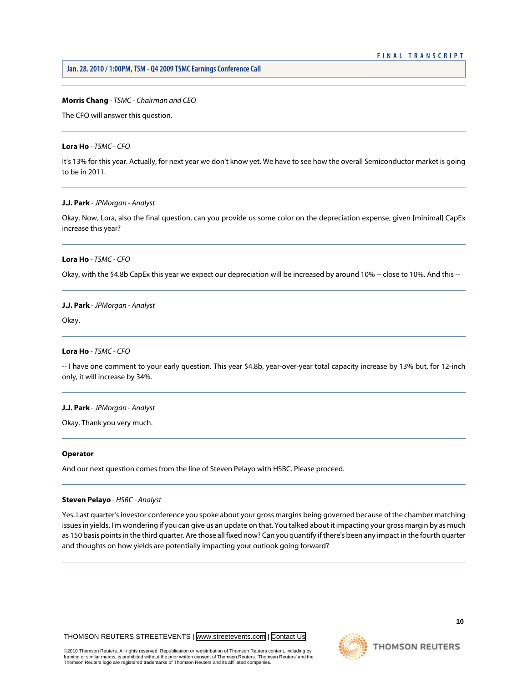#### **Morris Chang** *- TSMC - Chairman and CEO*

The CFO will answer this question.

#### **Lora Ho** *- TSMC - CFO*

It's 13% for this year. Actually, for next year we don't know yet. We have to see how the overall Semiconductor market is going to be in 2011.

# **J.J. Park** *- JPMorgan - Analyst*

Okay. Now, Lora, also the final question, can you provide us some color on the depreciation expense, given [minimal] CapEx increase this year?

#### **Lora Ho** *- TSMC - CFO*

Okay, with the \$4.8b CapEx this year we expect our depreciation will be increased by around 10% -- close to 10%. And this --

#### **J.J. Park** *- JPMorgan - Analyst*

Okay.

# **Lora Ho** *- TSMC - CFO*

-- I have one comment to your early question. This year \$4.8b, year-over-year total capacity increase by 13% but, for 12-inch only, it will increase by 34%.

# **J.J. Park** *- JPMorgan - Analyst*

Okay. Thank you very much.

#### <span id="page-10-0"></span>**Operator**

And our next question comes from the line of Steven Pelayo with HSBC. Please proceed.

#### **Steven Pelayo** *- HSBC - Analyst*

Yes. Last quarter's investor conference you spoke about your gross margins being governed because of the chamber matching issues in yields. I'm wondering if you can give us an update on that. You talked about it impacting your gross margin by as much as 150 basis points in the third quarter. Are those all fixed now? Can you quantify if there's been any impact in the fourth quarter and thoughts on how yields are potentially impacting your outlook going forward?

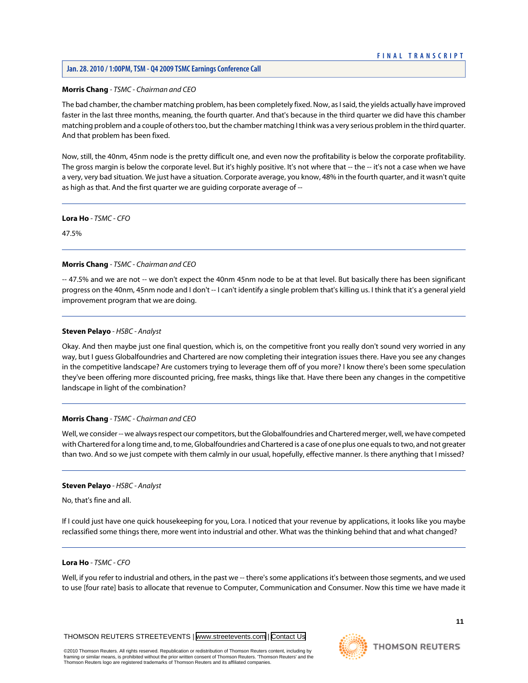# **Morris Chang** *- TSMC - Chairman and CEO*

The bad chamber, the chamber matching problem, has been completely fixed. Now, as I said, the yields actually have improved faster in the last three months, meaning, the fourth quarter. And that's because in the third quarter we did have this chamber matching problem and a couple of others too, but the chamber matching I think was a very serious problem in the third quarter. And that problem has been fixed.

Now, still, the 40nm, 45nm node is the pretty difficult one, and even now the profitability is below the corporate profitability. The gross margin is below the corporate level. But it's highly positive. It's not where that -- the -- it's not a case when we have a very, very bad situation. We just have a situation. Corporate average, you know, 48% in the fourth quarter, and it wasn't quite as high as that. And the first quarter we are guiding corporate average of --

**Lora Ho** *- TSMC - CFO*

47.5%

# **Morris Chang** *- TSMC - Chairman and CEO*

-- 47.5% and we are not -- we don't expect the 40nm 45nm node to be at that level. But basically there has been significant progress on the 40nm, 45nm node and I don't -- I can't identify a single problem that's killing us. I think that it's a general yield improvement program that we are doing.

# **Steven Pelayo** *- HSBC - Analyst*

Okay. And then maybe just one final question, which is, on the competitive front you really don't sound very worried in any way, but I guess Globalfoundries and Chartered are now completing their integration issues there. Have you see any changes in the competitive landscape? Are customers trying to leverage them off of you more? I know there's been some speculation they've been offering more discounted pricing, free masks, things like that. Have there been any changes in the competitive landscape in light of the combination?

# **Morris Chang** *- TSMC - Chairman and CEO*

Well, we consider -- we always respect our competitors, but the Globalfoundries and Chartered merger, well, we have competed with Chartered for a long time and, to me, Globalfoundries and Chartered is a case of one plus one equals to two, and not greater than two. And so we just compete with them calmly in our usual, hopefully, effective manner. Is there anything that I missed?

# **Steven Pelayo** *- HSBC - Analyst*

No, that's fine and all.

If I could just have one quick housekeeping for you, Lora. I noticed that your revenue by applications, it looks like you maybe reclassified some things there, more went into industrial and other. What was the thinking behind that and what changed?

# **Lora Ho** *- TSMC - CFO*

Well, if you refer to industrial and others, in the past we -- there's some applications it's between those segments, and we used to use [four rate] basis to allocate that revenue to Computer, Communication and Consumer. Now this time we have made it

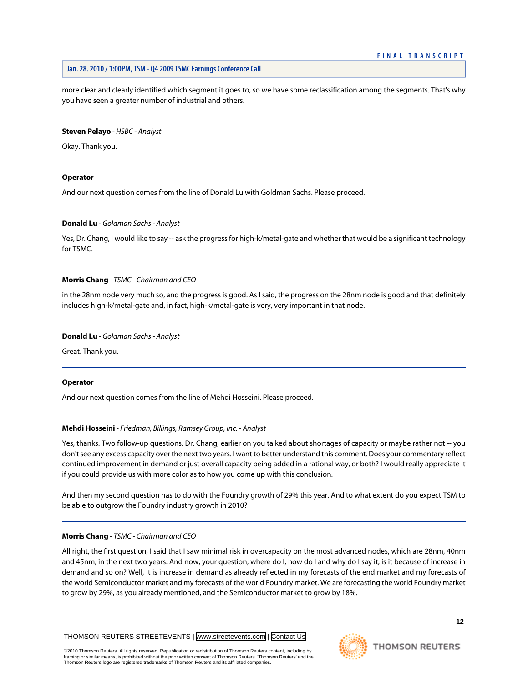more clear and clearly identified which segment it goes to, so we have some reclassification among the segments. That's why you have seen a greater number of industrial and others.

#### **Steven Pelayo** *- HSBC - Analyst*

Okay. Thank you.

# **Operator**

<span id="page-12-0"></span>And our next question comes from the line of Donald Lu with Goldman Sachs. Please proceed.

# **Donald Lu** *- Goldman Sachs - Analyst*

Yes, Dr. Chang, I would like to say -- ask the progress for high-k/metal-gate and whether that would be a significant technology for TSMC.

# **Morris Chang** *- TSMC - Chairman and CEO*

in the 28nm node very much so, and the progress is good. As I said, the progress on the 28nm node is good and that definitely includes high-k/metal-gate and, in fact, high-k/metal-gate is very, very important in that node.

#### **Donald Lu** *- Goldman Sachs - Analyst*

Great. Thank you.

#### **Operator**

And our next question comes from the line of Mehdi Hosseini. Please proceed.

# **Mehdi Hosseini** *- Friedman, Billings, Ramsey Group, Inc. - Analyst*

Yes, thanks. Two follow-up questions. Dr. Chang, earlier on you talked about shortages of capacity or maybe rather not -- you don't see any excess capacity over the next two years. I want to better understand this comment. Does your commentary reflect continued improvement in demand or just overall capacity being added in a rational way, or both? I would really appreciate it if you could provide us with more color as to how you come up with this conclusion.

And then my second question has to do with the Foundry growth of 29% this year. And to what extent do you expect TSM to be able to outgrow the Foundry industry growth in 2010?

# **Morris Chang** *- TSMC - Chairman and CEO*

All right, the first question, I said that I saw minimal risk in overcapacity on the most advanced nodes, which are 28nm, 40nm and 45nm, in the next two years. And now, your question, where do I, how do I and why do I say it, is it because of increase in demand and so on? Well, it is increase in demand as already reflected in my forecasts of the end market and my forecasts of the world Semiconductor market and my forecasts of the world Foundry market. We are forecasting the world Foundry market to grow by 29%, as you already mentioned, and the Semiconductor market to grow by 18%.

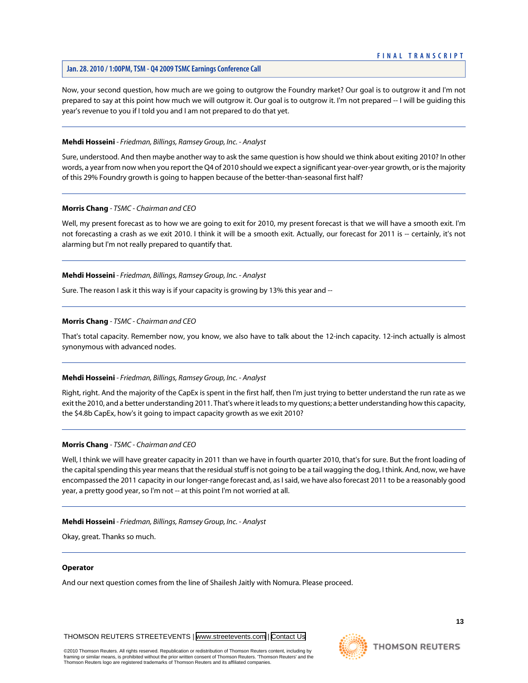Now, your second question, how much are we going to outgrow the Foundry market? Our goal is to outgrow it and I'm not prepared to say at this point how much we will outgrow it. Our goal is to outgrow it. I'm not prepared -- I will be guiding this year's revenue to you if I told you and I am not prepared to do that yet.

# **Mehdi Hosseini** *- Friedman, Billings, Ramsey Group, Inc. - Analyst*

Sure, understood. And then maybe another way to ask the same question is how should we think about exiting 2010? In other words, a year from now when you report the Q4 of 2010 should we expect a significant year-over-year growth, or is the majority of this 29% Foundry growth is going to happen because of the better-than-seasonal first half?

# **Morris Chang** *- TSMC - Chairman and CEO*

Well, my present forecast as to how we are going to exit for 2010, my present forecast is that we will have a smooth exit. I'm not forecasting a crash as we exit 2010. I think it will be a smooth exit. Actually, our forecast for 2011 is -- certainly, it's not alarming but I'm not really prepared to quantify that.

# **Mehdi Hosseini** *- Friedman, Billings, Ramsey Group, Inc. - Analyst*

Sure. The reason I ask it this way is if your capacity is growing by 13% this year and --

# **Morris Chang** *- TSMC - Chairman and CEO*

That's total capacity. Remember now, you know, we also have to talk about the 12-inch capacity. 12-inch actually is almost synonymous with advanced nodes.

# **Mehdi Hosseini** *- Friedman, Billings, Ramsey Group, Inc. - Analyst*

Right, right. And the majority of the CapEx is spent in the first half, then I'm just trying to better understand the run rate as we exit the 2010, and a better understanding 2011. That's where it leads to my questions; a better understanding how this capacity, the \$4.8b CapEx, how's it going to impact capacity growth as we exit 2010?

# **Morris Chang** *- TSMC - Chairman and CEO*

Well, I think we will have greater capacity in 2011 than we have in fourth quarter 2010, that's for sure. But the front loading of the capital spending this year means that the residual stuff is not going to be a tail wagging the dog, I think. And, now, we have encompassed the 2011 capacity in our longer-range forecast and, as I said, we have also forecast 2011 to be a reasonably good year, a pretty good year, so I'm not -- at this point I'm not worried at all.

# **Mehdi Hosseini** *- Friedman, Billings, Ramsey Group, Inc. - Analyst*

Okay, great. Thanks so much.

# **Operator**

And our next question comes from the line of Shailesh Jaitly with Nomura. Please proceed.

THOMSON REUTERS STREETEVENTS | [www.streetevents.com](http://www.streetevents.com) | [Contact Us](http://www010.streetevents.com/contact.asp)

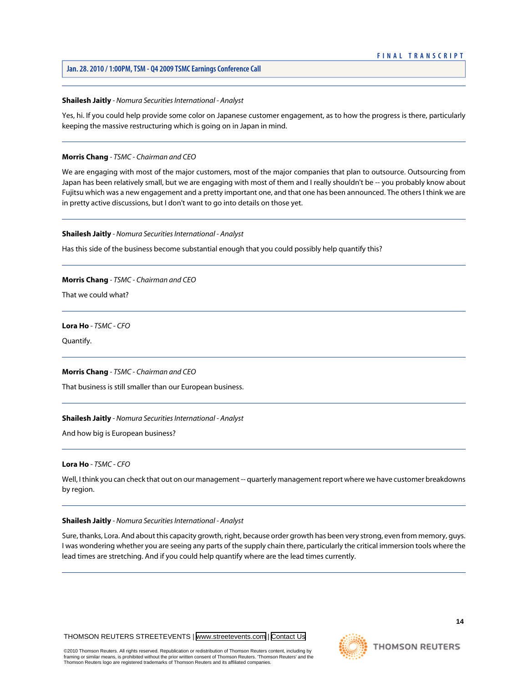#### **Shailesh Jaitly** *- Nomura Securities International - Analyst*

Yes, hi. If you could help provide some color on Japanese customer engagement, as to how the progress is there, particularly keeping the massive restructuring which is going on in Japan in mind.

# **Morris Chang** *- TSMC - Chairman and CEO*

We are engaging with most of the major customers, most of the major companies that plan to outsource. Outsourcing from Japan has been relatively small, but we are engaging with most of them and I really shouldn't be -- you probably know about Fujitsu which was a new engagement and a pretty important one, and that one has been announced. The others I think we are in pretty active discussions, but I don't want to go into details on those yet.

#### **Shailesh Jaitly** *- Nomura Securities International - Analyst*

Has this side of the business become substantial enough that you could possibly help quantify this?

**Morris Chang** *- TSMC - Chairman and CEO*

That we could what?

**Lora Ho** *- TSMC - CFO*

Quantify.

#### **Morris Chang** *- TSMC - Chairman and CEO*

That business is still smaller than our European business.

#### **Shailesh Jaitly** *- Nomura Securities International - Analyst*

And how big is European business?

# **Lora Ho** *- TSMC - CFO*

Well, I think you can check that out on our management -- quarterly management report where we have customer breakdowns by region.

#### **Shailesh Jaitly** *- Nomura Securities International - Analyst*

Sure, thanks, Lora. And about this capacity growth, right, because order growth has been very strong, even from memory, guys. I was wondering whether you are seeing any parts of the supply chain there, particularly the critical immersion tools where the lead times are stretching. And if you could help quantify where are the lead times currently.

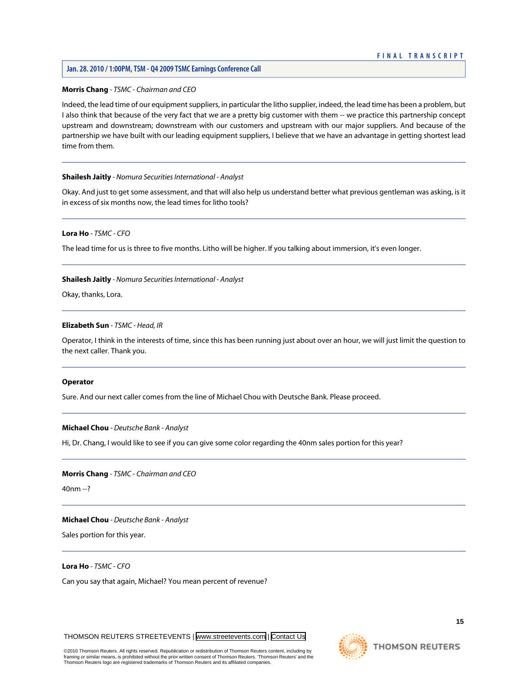# **Morris Chang** *- TSMC - Chairman and CEO*

Indeed, the lead time of our equipment suppliers, in particular the litho supplier, indeed, the lead time has been a problem, but I also think that because of the very fact that we are a pretty big customer with them -- we practice this partnership concept upstream and downstream; downstream with our customers and upstream with our major suppliers. And because of the partnership we have built with our leading equipment suppliers, I believe that we have an advantage in getting shortest lead time from them.

#### **Shailesh Jaitly** *- Nomura Securities International - Analyst*

Okay. And just to get some assessment, and that will also help us understand better what previous gentleman was asking, is it in excess of six months now, the lead times for litho tools?

# **Lora Ho** *- TSMC - CFO*

The lead time for us is three to five months. Litho will be higher. If you talking about immersion, it's even longer.

#### **Shailesh Jaitly** *- Nomura Securities International - Analyst*

Okay, thanks, Lora.

# **Elizabeth Sun** *- TSMC - Head, IR*

Operator, I think in the interests of time, since this has been running just about over an hour, we will just limit the question to the next caller. Thank you.

#### <span id="page-15-0"></span>**Operator**

Sure. And our next caller comes from the line of Michael Chou with Deutsche Bank. Please proceed.

### **Michael Chou** *- Deutsche Bank - Analyst*

Hi, Dr. Chang, I would like to see if you can give some color regarding the 40nm sales portion for this year?

#### **Morris Chang** *- TSMC - Chairman and CEO*

40nm --?

#### **Michael Chou** *- Deutsche Bank - Analyst*

Sales portion for this year.

**Lora Ho** *- TSMC - CFO*

Can you say that again, Michael? You mean percent of revenue?

THOMSON REUTERS STREETEVENTS | [www.streetevents.com](http://www.streetevents.com) | [Contact Us](http://www010.streetevents.com/contact.asp)

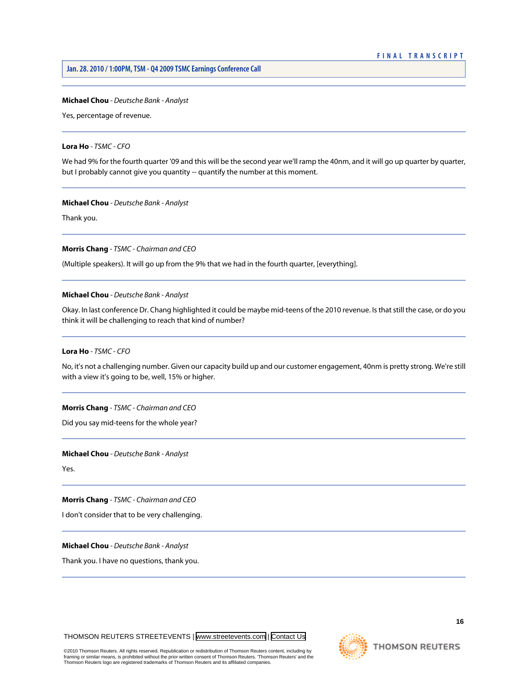#### **Michael Chou** *- Deutsche Bank - Analyst*

Yes, percentage of revenue.

# **Lora Ho** *- TSMC - CFO*

We had 9% for the fourth quarter '09 and this will be the second year we'll ramp the 40nm, and it will go up quarter by quarter, but I probably cannot give you quantity -- quantify the number at this moment.

#### **Michael Chou** *- Deutsche Bank - Analyst*

Thank you.

**Morris Chang** *- TSMC - Chairman and CEO*

(Multiple speakers). It will go up from the 9% that we had in the fourth quarter, [everything].

#### **Michael Chou** *- Deutsche Bank - Analyst*

Okay. In last conference Dr. Chang highlighted it could be maybe mid-teens of the 2010 revenue. Is that still the case, or do you think it will be challenging to reach that kind of number?

# **Lora Ho** *- TSMC - CFO*

No, it's not a challenging number. Given our capacity build up and our customer engagement, 40nm is pretty strong. We're still with a view it's going to be, well, 15% or higher.

**Morris Chang** *- TSMC - Chairman and CEO*

Did you say mid-teens for the whole year?

**Michael Chou** *- Deutsche Bank - Analyst*

Yes.

**Morris Chang** *- TSMC - Chairman and CEO*

I don't consider that to be very challenging.

**Michael Chou** *- Deutsche Bank - Analyst*

Thank you. I have no questions, thank you.